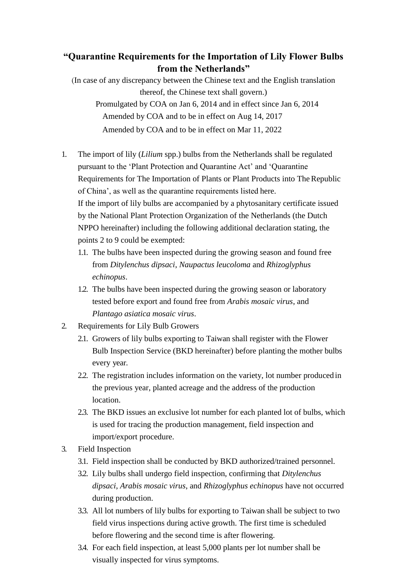## **"Quarantine Requirements for the Importation of Lily Flower Bulbs from the Netherlands"**

(In case of any discrepancy between the Chinese text and the English translation thereof, the Chinese text shall govern.) Promulgated by COA on Jan 6, 2014 and in effect since Jan 6, 2014 Amended by COA and to be in effect on Aug 14, 2017 Amended by COA and to be in effect on Mar 11, 2022

- 1. The import of lily (*Lilium* spp.) bulbs from the Netherlands shall be regulated pursuant to the 'Plant Protection and Quarantine Act' and 'Quarantine Requirements for The Importation of Plants or Plant Products into The Republic of China', as well as the quarantine requirements listed here. If the import of lily bulbs are accompanied by a phytosanitary certificate issued by the National Plant Protection Organization of the Netherlands (the Dutch NPPO hereinafter) including the following additional declaration stating, the points 2 to 9 could be exempted:
	- 1.1. The bulbs have been inspected during the growing season and found free from *Ditylenchus dipsaci*, *Naupactus leucoloma* and *Rhizoglyphus echinopus*.
	- 1.2. The bulbs have been inspected during the growing season or laboratory tested before export and found free from *Arabis mosaic virus*, and *Plantago asiatica mosaic virus*.
- 2. Requirements for Lily Bulb Growers
	- 2.1. Growers of lily bulbs exporting to Taiwan shall register with the Flower Bulb Inspection Service (BKD hereinafter) before planting the mother bulbs every year.
	- 2.2. The registration includes information on the variety, lot number produced in the previous year, planted acreage and the address of the production location.
	- 2.3. The BKD issues an exclusive lot number for each planted lot of bulbs, which is used for tracing the production management, field inspection and import/export procedure.
- 3. Field Inspection
	- 3.1. Field inspection shall be conducted by BKD authorized/trained personnel.
	- 3.2. Lily bulbs shall undergo field inspection, confirming that *Ditylenchus dipsaci*, *Arabis mosaic virus*, and *Rhizoglyphus echinopus* have not occurred during production.
	- 3.3. All lot numbers of lily bulbs for exporting to Taiwan shall be subject to two field virus inspections during active growth. The first time is scheduled before flowering and the second time is after flowering.
	- 3.4. For each field inspection, at least 5,000 plants per lot number shall be visually inspected for virus symptoms.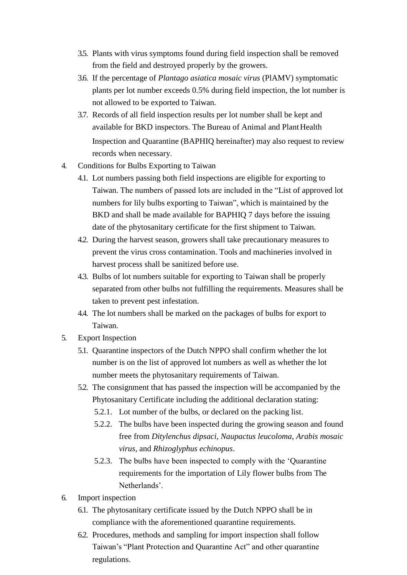- 3.5. Plants with virus symptoms found during field inspection shall be removed from the field and destroyed properly by the growers.
- 3.6. If the percentage of *Plantago asiatica mosaic virus* (PlAMV) symptomatic plants per lot number exceeds 0.5% during field inspection, the lot number is not allowed to be exported to Taiwan.
- 3.7. Records of all field inspection results per lot number shall be kept and available for BKD inspectors. The Bureau of Animal and Plant Health Inspection and Quarantine (BAPHIQ hereinafter) may also request to review records when necessary.
- 4. Conditions for Bulbs Exporting to Taiwan
	- 4.1. Lot numbers passing both field inspections are eligible for exporting to Taiwan. The numbers of passed lots are included in the "List of approved lot numbers for lily bulbs exporting to Taiwan", which is maintained by the BKD and shall be made available for BAPHIQ 7 days before the issuing date of the phytosanitary certificate for the first shipment to Taiwan.
	- 4.2. During the harvest season, growers shall take precautionary measures to prevent the virus cross contamination. Tools and machineries involved in harvest process shall be sanitized before use.
	- 4.3. Bulbs of lot numbers suitable for exporting to Taiwan shall be properly separated from other bulbs not fulfilling the requirements. Measures shall be taken to prevent pest infestation.
	- 4.4. The lot numbers shall be marked on the packages of bulbs for export to Taiwan.
- 5. Export Inspection
	- 5.1. Quarantine inspectors of the Dutch NPPO shall confirm whether the lot number is on the list of approved lot numbers as well as whether the lot number meets the phytosanitary requirements of Taiwan.
	- 5.2. The consignment that has passed the inspection will be accompanied by the Phytosanitary Certificate including the additional declaration stating:
		- 5.2.1. Lot number of the bulbs, or declared on the packing list.
		- 5.2.2. The bulbs have been inspected during the growing season and found free from *Ditylenchus dipsaci*, *Naupactus leucoloma*, *Arabis mosaic virus*, and *Rhizoglyphus echinopus*.
		- 5.2.3. The bulbs have been inspected to comply with the 'Quarantine requirements for the importation of Lily flower bulbs from The Netherlands'.
- 6. Import inspection
	- 6.1. The phytosanitary certificate issued by the Dutch NPPO shall be in compliance with the aforementioned quarantine requirements.
	- 6.2. Procedures, methods and sampling for import inspection shall follow Taiwan's "Plant Protection and Quarantine Act" and other quarantine regulations.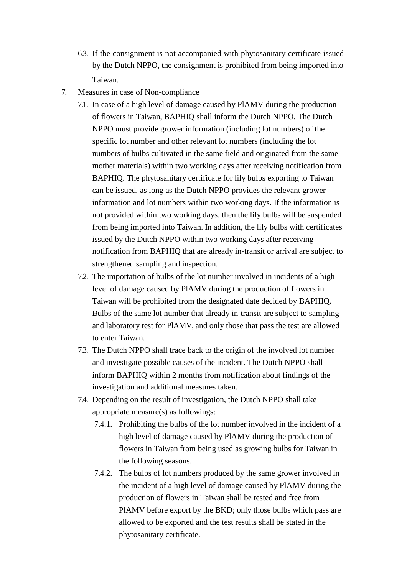- 6.3. If the consignment is not accompanied with phytosanitary certificate issued by the Dutch NPPO, the consignment is prohibited from being imported into Taiwan.
- 7. Measures in case of Non-compliance
	- 7.1. In case of a high level of damage caused by PlAMV during the production of flowers in Taiwan, BAPHIQ shall inform the Dutch NPPO. The Dutch NPPO must provide grower information (including lot numbers) of the specific lot number and other relevant lot numbers (including the lot numbers of bulbs cultivated in the same field and originated from the same mother materials) within two working days after receiving notification from BAPHIQ. The phytosanitary certificate for lily bulbs exporting to Taiwan can be issued, as long as the Dutch NPPO provides the relevant grower information and lot numbers within two working days. If the information is not provided within two working days, then the lily bulbs will be suspended from being imported into Taiwan. In addition, the lily bulbs with certificates issued by the Dutch NPPO within two working days after receiving notification from BAPHIQ that are already in-transit or arrival are subject to strengthened sampling and inspection.
	- 7.2. The importation of bulbs of the lot number involved in incidents of a high level of damage caused by PlAMV during the production of flowers in Taiwan will be prohibited from the designated date decided by BAPHIQ. Bulbs of the same lot number that already in-transit are subject to sampling and laboratory test for PlAMV, and only those that pass the test are allowed to enter Taiwan.
	- 7.3. The Dutch NPPO shall trace back to the origin of the involved lot number and investigate possible causes of the incident. The Dutch NPPO shall inform BAPHIQ within 2 months from notification about findings of the investigation and additional measures taken.
	- 7.4. Depending on the result of investigation, the Dutch NPPO shall take appropriate measure(s) as followings:
		- 7.4.1. Prohibiting the bulbs of the lot number involved in the incident of a high level of damage caused by PlAMV during the production of flowers in Taiwan from being used as growing bulbs for Taiwan in the following seasons.
		- 7.4.2. The bulbs of lot numbers produced by the same grower involved in the incident of a high level of damage caused by PlAMV during the production of flowers in Taiwan shall be tested and free from PlAMV before export by the BKD; only those bulbs which pass are allowed to be exported and the test results shall be stated in the phytosanitary certificate.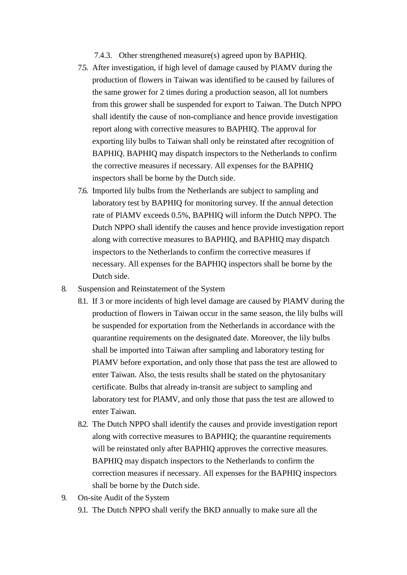7.4.3. Other strengthened measure(s) agreed upon by BAPHIQ.

- 7.5. After investigation, if high level of damage caused by PlAMV during the production of flowers in Taiwan was identified to be caused by failures of the same grower for 2 times during a production season, all lot numbers from this grower shall be suspended for export to Taiwan. The Dutch NPPO shall identify the cause of non-compliance and hence provide investigation report along with corrective measures to BAPHIQ. The approval for exporting lily bulbs to Taiwan shall only be reinstated after recognition of BAPHIQ. BAPHIQ may dispatch inspectors to the Netherlands to confirm the corrective measures if necessary. All expenses for the BAPHIQ inspectors shall be borne by the Dutch side.
- 7.6. Imported lily bulbs from the Netherlands are subject to sampling and laboratory test by BAPHIQ for monitoring survey. If the annual detection rate of PlAMV exceeds 0.5%, BAPHIQ will inform the Dutch NPPO. The Dutch NPPO shall identify the causes and hence provide investigation report along with corrective measures to BAPHIQ, and BAPHIQ may dispatch inspectors to the Netherlands to confirm the corrective measures if necessary. All expenses for the BAPHIQ inspectors shall be borne by the Dutch side.
- 8. Suspension and Reinstatement of the System
	- 8.1. If 3 or more incidents of high level damage are caused by PlAMV during the production of flowers in Taiwan occur in the same season, the lily bulbs will be suspended for exportation from the Netherlands in accordance with the quarantine requirements on the designated date. Moreover, the lily bulbs shall be imported into Taiwan after sampling and laboratory testing for PlAMV before exportation, and only those that pass the test are allowed to enter Taiwan. Also, the tests results shall be stated on the phytosanitary certificate. Bulbs that already in-transit are subject to sampling and laboratory test for PlAMV, and only those that pass the test are allowed to enter Taiwan.
	- 8.2. The Dutch NPPO shall identify the causes and provide investigation report along with corrective measures to BAPHIQ; the quarantine requirements will be reinstated only after BAPHIQ approves the corrective measures. BAPHIQ may dispatch inspectors to the Netherlands to confirm the correction measures if necessary. All expenses for the BAPHIQ inspectors shall be borne by the Dutch side.
- 9. On-site Audit of the System
	- 9.1. The Dutch NPPO shall verify the BKD annually to make sure all the